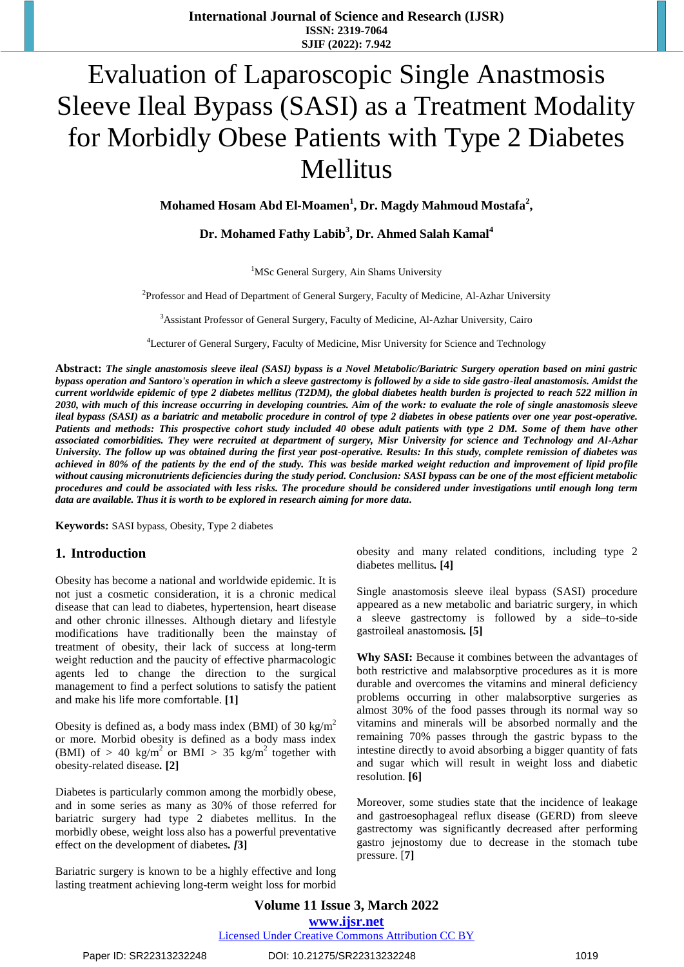# Evaluation of Laparoscopic Single Anastmosis Sleeve Ileal Bypass (SASI) as a Treatment Modality for Morbidly Obese Patients with Type 2 Diabetes Mellitus

**Mohamed Hosam Abd El-Moamen<sup>1</sup> , Dr. Magdy Mahmoud Mostafa<sup>2</sup> ,** 

**Dr. Mohamed Fathy Labib<sup>3</sup> , Dr. Ahmed Salah Kamal<sup>4</sup>**

<sup>1</sup>MSc General Surgery, Ain Shams University

<sup>2</sup>Professor and Head of Department of General Surgery, Faculty of Medicine, Al-Azhar University

<sup>3</sup>Assistant Professor of General Surgery, Faculty of Medicine, Al-Azhar University, Cairo

<sup>4</sup>Lecturer of General Surgery, Faculty of Medicine, Misr University for Science and Technology

**Abstract:** *The single anastomosis sleeve ileal (SASI) bypass is a Novel Metabolic/Bariatric Surgery operation based on mini gastric bypass operation and Santoro's operation in which a sleeve gastrectomy is followed by a side to side gastro-ileal anastomosis. Amidst the current worldwide epidemic of type 2 diabetes mellitus (T2DM), the global diabetes health burden is projected to reach 522 million in 2030, with much of this increase occurring in developing countries. Aim of the work: to evaluate the role of single anastomosis sleeve ileal bypass (SASI) as a bariatric and metabolic procedure in control of type 2 diabetes in obese patients over one year post-operative. Patients and methods: This prospective cohort study included 40 obese adult patients with type 2 DM. Some of them have other associated comorbidities. They were recruited at department of surgery, Misr University for science and Technology and Al-Azhar University. The follow up was obtained during the first year post-operative. Results: In this study, complete remission of diabetes was achieved in 80% of the patients by the end of the study. This was beside marked weight reduction and improvement of lipid profile without causing micronutrients deficiencies during the study period. Conclusion: SASI bypass can be one of the most efficient metabolic procedures and could be associated with less risks. The procedure should be considered under investigations until enough long term data are available. Thus it is worth to be explored in research aiming for more data.*

**Keywords:** SASI bypass, Obesity, Type 2 diabetes

### **1. Introduction**

Obesity has become a national and worldwide epidemic. It is not just a cosmetic consideration, it is a chronic medical disease that can lead to diabetes, hypertension, heart disease and other chronic illnesses. Although dietary and lifestyle modifications have traditionally been the mainstay of treatment of obesity, their lack of success at long-term weight reduction and the paucity of effective pharmacologic agents led to change the direction to the surgical management to find a perfect solutions to satisfy the patient and make his life more comfortable. **[1]**

Obesity is defined as, a body mass index (BMI) of 30 kg/m<sup>2</sup> or more. Morbid obesity is defined as a body mass index (BMI) of > 40 kg/m<sup>2</sup> or BMI > 35 kg/m<sup>2</sup> together with obesity-related disease*.* **[2]**

Diabetes is particularly common among the morbidly obese, and in some series as many as 30% of those referred for bariatric surgery had type 2 diabetes mellitus. In the morbidly obese, weight loss also has a powerful preventative effect on the development of diabetes*. [***3]**

Bariatric surgery is known to be a highly effective and long lasting treatment achieving long-term weight loss for morbid obesity and many related conditions, including type 2 diabetes mellitus*.* **[4]**

Single anastomosis sleeve ileal bypass (SASI) procedure appeared as a new metabolic and bariatric surgery, in which a sleeve gastrectomy is followed by a side–to-side gastroileal anastomosis*.* **[5]**

**Why SASI:** Because it combines between the advantages of both restrictive and malabsorptive procedures as it is more durable and overcomes the vitamins and mineral deficiency problems occurring in other malabsorptive surgeries as almost 30% of the food passes through its normal way so vitamins and minerals will be absorbed normally and the remaining 70% passes through the gastric bypass to the intestine directly to avoid absorbing a bigger quantity of fats and sugar which will result in weight loss and diabetic resolution. **[6]**

Moreover, some studies state that the incidence of leakage and gastroesophageal reflux disease (GERD) from sleeve gastrectomy was significantly decreased after performing gastro jejnostomy due to decrease in the stomach tube pressure. [**7]**

**Volume 11 Issue 3, March 2022 www.ijsr.net** Licensed Under Creative Commons Attribution CC BY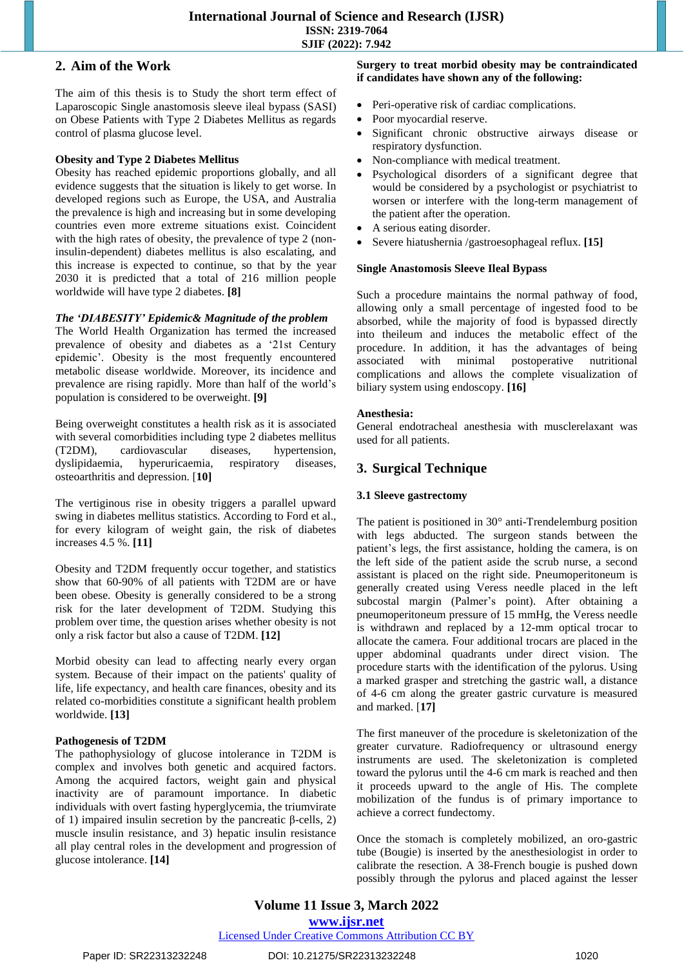## **2. Aim of the Work**

The aim of this thesis is to Study the short term effect of Laparoscopic Single anastomosis sleeve ileal bypass (SASI) on Obese Patients with Type 2 Diabetes Mellitus as regards control of plasma glucose level.

## **Obesity and Type 2 Diabetes Mellitus**

Obesity has reached epidemic proportions globally, and all evidence suggests that the situation is likely to get worse. In developed regions such as Europe, the USA, and Australia the prevalence is high and increasing but in some developing countries even more extreme situations exist. Coincident with the high rates of obesity, the prevalence of type 2 (noninsulin-dependent) diabetes mellitus is also escalating, and this increase is expected to continue, so that by the year 2030 it is predicted that a total of 216 million people worldwide will have type 2 diabetes. **[8]**

## *The 'DIABESITY' Epidemic& Magnitude of the problem*

The World Health Organization has termed the increased prevalence of obesity and diabetes as a '21st Century epidemic'. Obesity is the most frequently encountered metabolic disease worldwide. Moreover, its incidence and prevalence are rising rapidly. More than half of the world's population is considered to be overweight. **[9]**

Being overweight constitutes a health risk as it is associated with several comorbidities including type 2 diabetes mellitus (T2DM), cardiovascular diseases, hypertension, dyslipidaemia, hyperuricaemia, respiratory diseases, osteoarthritis and depression. [**10]**

The vertiginous rise in obesity triggers a parallel upward swing in diabetes mellitus statistics. According to Ford et al., for every kilogram of weight gain, the risk of diabetes increases 4.5 %. **[11]**

Obesity and T2DM frequently occur together, and statistics show that 60-90% of all patients with T2DM are or have been obese. Obesity is generally considered to be a strong risk for the later development of T2DM. Studying this problem over time, the question arises whether obesity is not only a risk factor but also a cause of T2DM. **[12]**

Morbid obesity can lead to affecting nearly every organ system. Because of their impact on the patients' quality of life, life expectancy, and health care finances, obesity and its related co-morbidities constitute a significant health problem worldwide. **[13]**

## **Pathogenesis of T2DM**

The pathophysiology of glucose intolerance in T2DM is complex and involves both genetic and acquired factors. Among the acquired factors, weight gain and physical inactivity are of paramount importance. In diabetic individuals with overt fasting hyperglycemia, the triumvirate of 1) impaired insulin secretion by the pancreatic β-cells, 2) muscle insulin resistance, and 3) hepatic insulin resistance all play central roles in the development and progression of glucose intolerance. **[14]**

### **Surgery to treat morbid obesity may be contraindicated if candidates have shown any of the following:**

- Peri-operative risk of cardiac complications.
- Poor myocardial reserve.
- Significant chronic obstructive airways disease or respiratory dysfunction.
- Non-compliance with medical treatment.
- Psychological disorders of a significant degree that would be considered by a psychologist or psychiatrist to worsen or interfere with the long-term management of the patient after the operation.
- A serious eating disorder.
- Severe hiatushernia /gastroesophageal reflux. **[15]**

## **Single Anastomosis Sleeve Ileal Bypass**

Such a procedure maintains the normal pathway of food, allowing only a small percentage of ingested food to be absorbed, while the majority of food is bypassed directly into theileum and induces the metabolic effect of the procedure. In addition, it has the advantages of being associated with minimal postoperative nutritional complications and allows the complete visualization of biliary system using endoscopy. **[16]**

## **Anesthesia:**

General endotracheal anesthesia with musclerelaxant was used for all patients.

## **3. Surgical Technique**

## **3.1 Sleeve gastrectomy**

The patient is positioned in 30° anti-Trendelemburg position with legs abducted. The surgeon stands between the patient's legs, the first assistance, holding the camera, is on the left side of the patient aside the scrub nurse, a second assistant is placed on the right side. Pneumoperitoneum is generally created using Veress needle placed in the left subcostal margin (Palmer's point). After obtaining a pneumoperitoneum pressure of 15 mmHg, the Veress needle is withdrawn and replaced by a 12-mm optical trocar to allocate the camera. Four additional trocars are placed in the upper abdominal quadrants under direct vision. The procedure starts with the identification of the pylorus. Using a marked grasper and stretching the gastric wall, a distance of 4-6 cm along the greater gastric curvature is measured and marked. [**17]**

The first maneuver of the procedure is skeletonization of the greater curvature. Radiofrequency or ultrasound energy instruments are used. The skeletonization is completed toward the pylorus until the 4-6 cm mark is reached and then it proceeds upward to the angle of His. The complete mobilization of the fundus is of primary importance to achieve a correct fundectomy.

Once the stomach is completely mobilized, an oro-gastric tube (Bougie) is inserted by the anesthesiologist in order to calibrate the resection. A 38-French bougie is pushed down possibly through the pylorus and placed against the lesser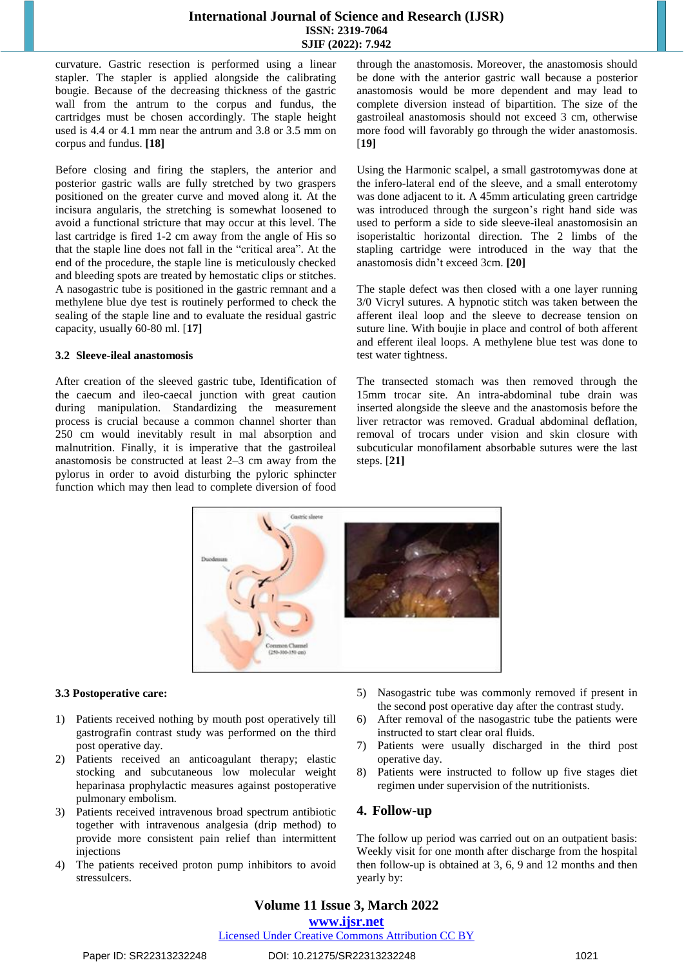## **International Journal of Science and Research (IJSR) ISSN: 2319-7064 SJIF (2022): 7.942**

curvature. Gastric resection is performed using a linear stapler. The stapler is applied alongside the calibrating bougie. Because of the decreasing thickness of the gastric wall from the antrum to the corpus and fundus, the cartridges must be chosen accordingly. The staple height used is 4.4 or 4.1 mm near the antrum and 3.8 or 3.5 mm on corpus and fundus. **[18]**

Before closing and firing the staplers, the anterior and posterior gastric walls are fully stretched by two graspers positioned on the greater curve and moved along it. At the incisura angularis, the stretching is somewhat loosened to avoid a functional stricture that may occur at this level. The last cartridge is fired 1-2 cm away from the angle of His so that the staple line does not fall in the "critical area". At the end of the procedure, the staple line is meticulously checked and bleeding spots are treated by hemostatic clips or stitches. A nasogastric tube is positioned in the gastric remnant and a methylene blue dye test is routinely performed to check the sealing of the staple line and to evaluate the residual gastric capacity, usually 60-80 ml. [**17]**

#### **3.2 Sleeve-ileal anastomosis**

After creation of the sleeved gastric tube, Identification of the caecum and ileo-caecal junction with great caution during manipulation. Standardizing the measurement process is crucial because a common channel shorter than 250 cm would inevitably result in mal absorption and malnutrition. Finally, it is imperative that the gastroileal anastomosis be constructed at least 2–3 cm away from the pylorus in order to avoid disturbing the pyloric sphincter function which may then lead to complete diversion of food through the anastomosis. Moreover, the anastomosis should be done with the anterior gastric wall because a posterior anastomosis would be more dependent and may lead to complete diversion instead of bipartition. The size of the gastroileal anastomosis should not exceed 3 cm, otherwise more food will favorably go through the wider anastomosis. [**19]**

Using the Harmonic scalpel, a small gastrotomywas done at the infero-lateral end of the sleeve, and a small enterotomy was done adjacent to it. A 45mm articulating green cartridge was introduced through the surgeon's right hand side was used to perform a side to side sleeve-ileal anastomosisin an isoperistaltic horizontal direction. The 2 limbs of the stapling cartridge were introduced in the way that the anastomosis didn't exceed 3cm. **[20]**

The staple defect was then closed with a one layer running 3/0 Vicryl sutures. A hypnotic stitch was taken between the afferent ileal loop and the sleeve to decrease tension on suture line. With boujie in place and control of both afferent and efferent ileal loops. A methylene blue test was done to test water tightness.

The transected stomach was then removed through the 15mm trocar site. An intra-abdominal tube drain was inserted alongside the sleeve and the anastomosis before the liver retractor was removed. Gradual abdominal deflation, removal of trocars under vision and skin closure with subcuticular monofilament absorbable sutures were the last steps. [**21]**



### **3.3 Postoperative care:**

- 1) Patients received nothing by mouth post operatively till gastrografin contrast study was performed on the third post operative day.
- 2) Patients received an anticoagulant therapy; elastic stocking and subcutaneous low molecular weight heparinasa prophylactic measures against postoperative pulmonary embolism.
- 3) Patients received intravenous broad spectrum antibiotic together with intravenous analgesia (drip method) to provide more consistent pain relief than intermittent injections
- 4) The patients received proton pump inhibitors to avoid stressulcers.
- 5) Nasogastric tube was commonly removed if present in the second post operative day after the contrast study.
- 6) After removal of the nasogastric tube the patients were instructed to start clear oral fluids.
- 7) Patients were usually discharged in the third post operative day.
- 8) Patients were instructed to follow up five stages diet regimen under supervision of the nutritionists.

## **4. Follow-up**

The follow up period was carried out on an outpatient basis: Weekly visit for one month after discharge from the hospital then follow-up is obtained at 3, 6, 9 and 12 months and then yearly by:

# **Volume 11 Issue 3, March 2022**

## **www.ijsr.net**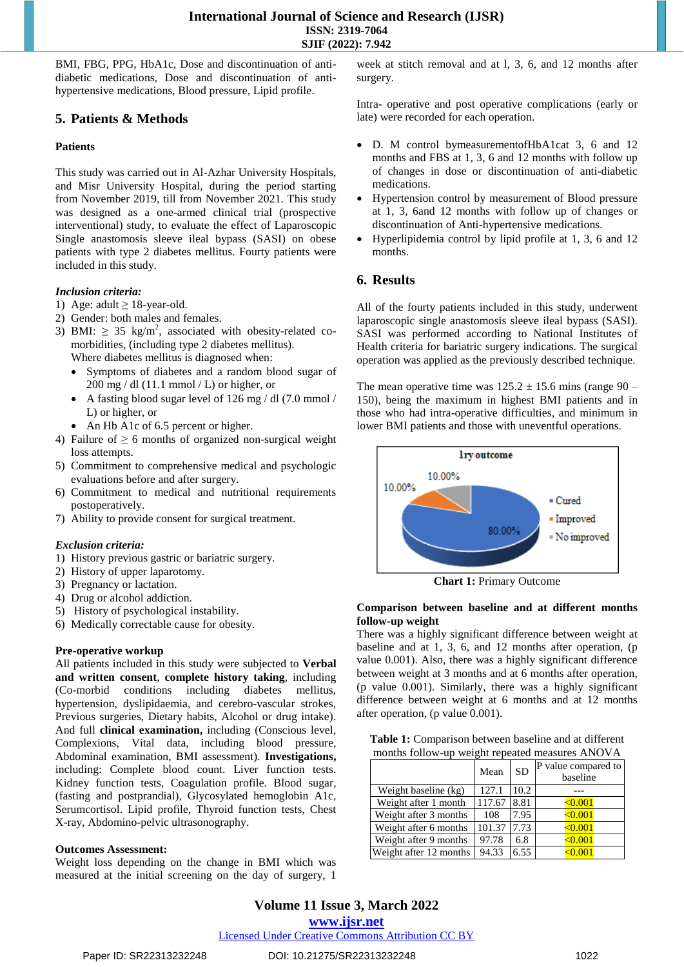BMI, FBG, PPG, HbA1c, Dose and discontinuation of antidiabetic medications, Dose and discontinuation of antihypertensive medications, Blood pressure, Lipid profile.

## **5. Patients & Methods**

## **Patients**

This study was carried out in Al-Azhar University Hospitals, and Misr University Hospital, during the period starting from November 2019, till from November 2021. This study was designed as a one-armed clinical trial (prospective interventional) study, to evaluate the effect of Laparoscopic Single anastomosis sleeve ileal bypass (SASI) on obese patients with type 2 diabetes mellitus. Fourty patients were included in this study.

## *Inclusion criteria:*

- 1) Age: adult  $\geq$  18-year-old.
- 2) Gender: both males and females.
- 3) BMI:  $\geq$  35 kg/m<sup>2</sup>, associated with obesity-related comorbidities, (including type 2 diabetes mellitus). Where diabetes mellitus is diagnosed when:
	- Symptoms of diabetes and a random blood sugar of  $200 \text{ mg }$  / dl (11.1 mmol / L) or higher, or
	- A fasting blood sugar level of 126 mg / dl (7.0 mmol / L) or higher, or
	- An Hb A1c of 6.5 percent or higher.
- 4) Failure of  $\geq 6$  months of organized non-surgical weight loss attempts.
- 5) Commitment to comprehensive medical and psychologic evaluations before and after surgery.
- 6) Commitment to medical and nutritional requirements postoperatively.
- 7) Ability to provide consent for surgical treatment.

### *Exclusion criteria:*

- 1) History previous gastric or [bariatric](https://www.sciencedirect.com/topics/medicine-and-dentistry/bariatric-surgery) surgery.
- 2) History of upper [laparotomy.](https://www.sciencedirect.com/topics/medicine-and-dentistry/laparotomy)
- 3) Pregnancy or lactation.
- 4) Drug or alcohol addiction.
- 5) History of [psychological](https://www.sciencedirect.com/topics/medicine-and-dentistry/mental-instability) instability.
- 6) Medically correctable cause for obesity.

### **Pre-operative workup**

All patients included in this study were subjected to **Verbal and written consent**, **complete history taking**, including (Co-morbid conditions including diabetes mellitus, hypertension, dyslipidaemia, and cerebro-vascular strokes, Previous surgeries, Dietary habits, Alcohol or drug intake). And full **clinical examination,** including (Conscious level, Complexions, Vital data, including blood pressure, Abdominal examination, BMI assessment). **Investigations,**  including: Complete blood count. Liver function tests. Kidney function tests, Coagulation profile. Blood sugar, (fasting and postprandial), Glycosylated hemoglobin A1c, Serumcortisol. Lipid profile, Thyroid function tests, Chest X-ray, Abdomino-pelvic ultrasonography.

### **Outcomes Assessment:**

Weight loss depending on the change in BMI which was measured at the initial screening on the day of surgery, 1

week at stitch removal and at l, 3, 6, and 12 months after surgery.

Intra- operative and post operative complications (early or late) were recorded for each operation.

- D. M control bymeasurementofHbA1cat 3, 6 and 12 months and FBS at 1, 3, 6 and 12 months with follow up of changes in dose or discontinuation of anti-diabetic medications.
- Hypertension control by measurement of Blood pressure at 1, 3, 6and 12 months with follow up of changes or discontinuation of Anti-hypertensive medications.
- Hyperlipidemia control by lipid profile at 1, 3, 6 and 12 months.

## **6. Results**

All of the fourty patients included in this study, underwent laparoscopic single anastomosis sleeve ileal bypass (SASI). SASI was performed according to National Institutes of Health criteria for bariatric surgery indications. The surgical operation was applied as the previously described technique.

The mean operative time was  $125.2 \pm 15.6$  mins (range 90 – 150), being the maximum in highest BMI patients and in those who had intra-operative difficulties, and minimum in lower BMI patients and those with uneventful operations.



**Chart 1:** Primary Outcome

## **Comparison between baseline and at different months follow-up weight**

There was a highly significant difference between weight at baseline and at 1, 3, 6, and 12 months after operation, (p value 0.001). Also, there was a highly significant difference between weight at 3 months and at 6 months after operation, (p value 0.001). Similarly, there was a highly significant difference between weight at 6 months and at 12 months after operation, (p value 0.001).

| Table 1: Comparison between baseline and at different |
|-------------------------------------------------------|
| months follow-up weight repeated measures ANOVA       |

|                        | Mean   | <b>SD</b> | P value compared to<br>baseline |
|------------------------|--------|-----------|---------------------------------|
| Weight baseline (kg)   | 127.1  | 10.2      |                                 |
| Weight after 1 month   | 117.67 | 8.81      | < 0.001                         |
| Weight after 3 months  | 108    | 7.95      | < 0.001                         |
| Weight after 6 months  | 101.37 | 7.73      | < 0.001                         |
| Weight after 9 months  | 97.78  | 6.8       | < 0.001                         |
| Weight after 12 months | 94.33  | 6.55      | < 0.001                         |

# **Volume 11 Issue 3, March 2022**

**www.ijsr.net**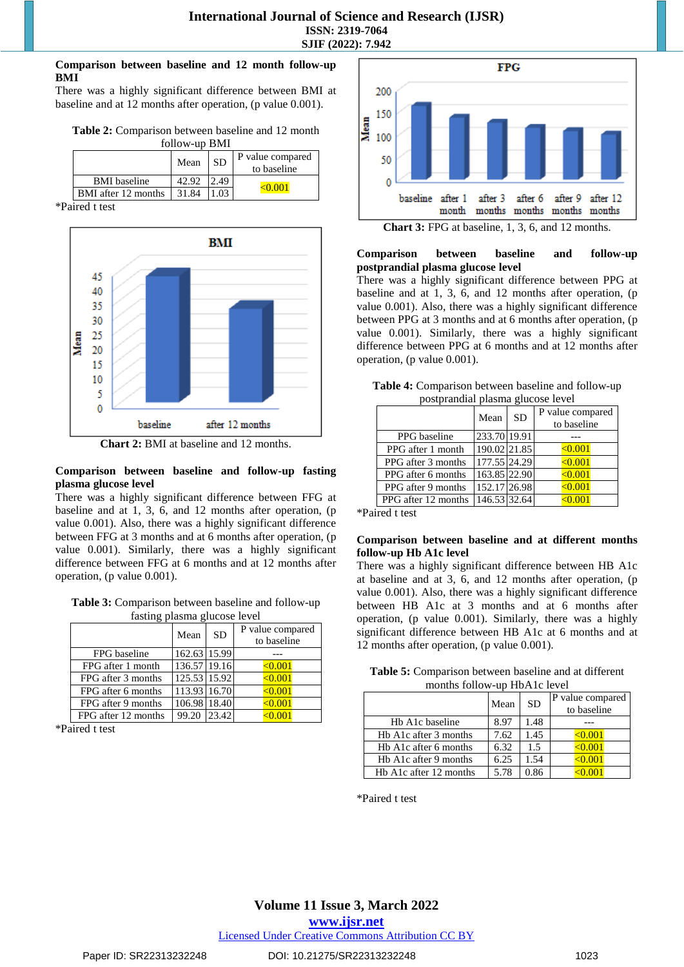#### **Comparison between baseline and 12 month follow-up BMI**

There was a highly significant difference between BMI at baseline and at 12 months after operation, (p value 0.001).

| Table 2: Comparison between baseline and 12 month |               |  |  |
|---------------------------------------------------|---------------|--|--|
|                                                   | follow-up BMI |  |  |

|                     | Mean  | <b>SD</b> | P value compared<br>to baseline |
|---------------------|-------|-----------|---------------------------------|
| <b>BMI</b> baseline |       |           |                                 |
| BMI after 12 months | 31.84 |           |                                 |

\*Paired t test



**Chart 2:** BMI at baseline and 12 months.

## **Comparison between baseline and follow-up fasting plasma glucose level**

There was a highly significant difference between FFG at baseline and at 1, 3, 6, and 12 months after operation, (p value 0.001). Also, there was a highly significant difference between FFG at 3 months and at 6 months after operation, (p value 0.001). Similarly, there was a highly significant difference between FFG at 6 months and at 12 months after operation, (p value 0.001).

**Table 3:** Comparison between baseline and follow-up fasting plasma glucose level

|                     | Mean         | <b>SD</b> | P value compared<br>to baseline |
|---------------------|--------------|-----------|---------------------------------|
| FPG baseline        | 162.63 15.99 |           |                                 |
| FPG after 1 month   | 136.57 19.16 |           | < 0.001                         |
| FPG after 3 months  | 125.53 15.92 |           | < 0.001                         |
| FPG after 6 months  | 113.93 16.70 |           | < 0.001                         |
| FPG after 9 months  | 106.98 18.40 |           | < 0.001                         |
| FPG after 12 months | 99.20        | 23.42     | < 0.001                         |

\*Paired t test



### **Comparison between baseline and follow-up postprandial plasma glucose level**

There was a highly significant difference between PPG at baseline and at 1, 3, 6, and 12 months after operation, (p value 0.001). Also, there was a highly significant difference between PPG at 3 months and at 6 months after operation, (p value 0.001). Similarly, there was a highly significant difference between PPG at 6 months and at 12 months after operation, (p value 0.001).

| Table 4: Comparison between baseline and follow-up |
|----------------------------------------------------|
| postprandial plasma glucose level                  |

| $p$ ostprandiai plasma graecse level |              |           |                                 |  |
|--------------------------------------|--------------|-----------|---------------------------------|--|
|                                      | Mean         | <b>SD</b> | P value compared<br>to baseline |  |
| PPG baseline                         | 233.70 19.91 |           |                                 |  |
| PPG after 1 month                    | 190.02 21.85 |           | < 0.001                         |  |
| PPG after 3 months                   | 177.55 24.29 |           | < 0.001                         |  |
| PPG after 6 months                   | 163.85 22.90 |           | < 0.001                         |  |
| PPG after 9 months                   | 152.17 26.98 |           | < 0.001                         |  |
| PPG after 12 months                  | 146.53 32.64 |           | < 0.001                         |  |

\*Paired t test

### **Comparison between baseline and at different months follow-up Hb A1c level**

There was a highly significant difference between HB A1c at baseline and at 3, 6, and 12 months after operation, (p value 0.001). Also, there was a highly significant difference between HB A1c at 3 months and at 6 months after operation, (p value 0.001). Similarly, there was a highly significant difference between HB A1c at 6 months and at 12 months after operation, (p value 0.001).

| Table 5: Comparison between baseline and at different |
|-------------------------------------------------------|
| months follow-up HbA1c level                          |

|                        | Mean | <b>SD</b> | P value compared<br>to baseline |
|------------------------|------|-----------|---------------------------------|
| Hb A1c baseline        | 8.97 | 1.48      |                                 |
| Hb A1c after 3 months  | 7.62 | 1.45      | < 0.001                         |
| Hb A1c after 6 months  | 6.32 | 1.5       | < 0.001                         |
| Hb A1c after 9 months  | 6.25 | 1.54      | < 0.001                         |
| Hb A1c after 12 months | 5.78 | 0.86      |                                 |

\*Paired t test

## **Volume 11 Issue 3, March 2022 www.ijsr.net**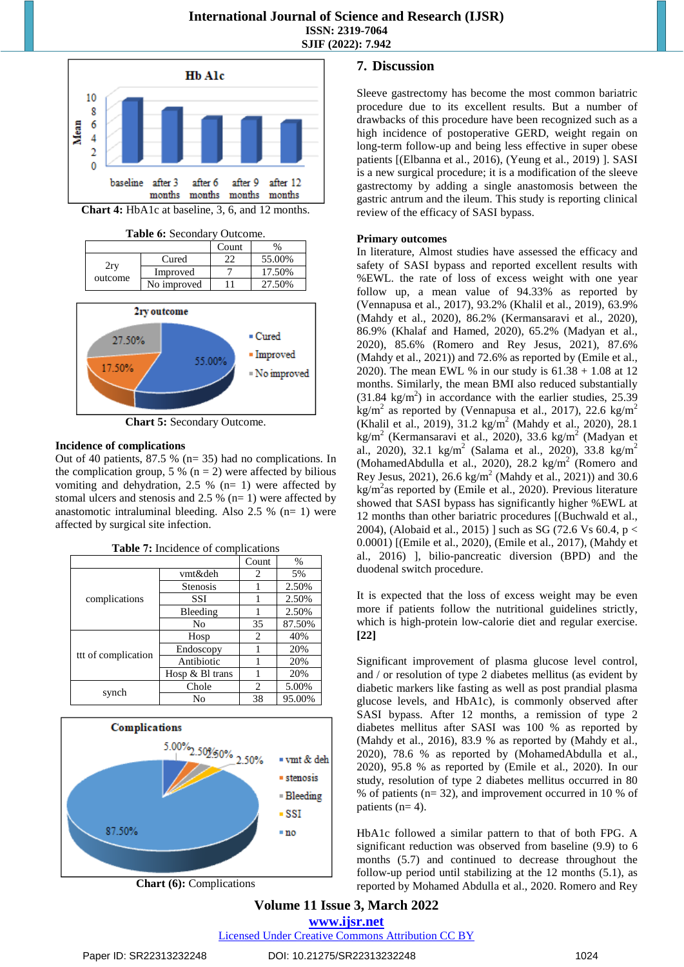

**Chart 5:** Secondary Outcome.

#### **Incidence of complications**

Out of 40 patients, 87.5 % (n= 35) had no complications. In the complication group, 5 % ( $n = 2$ ) were affected by bilious vomiting and dehydration, 2.5 % (n= 1) were affected by stomal ulcers and stenosis and 2.5 % ( $n=1$ ) were affected by anastomotic intraluminal bleeding. Also  $2.5\%$  (n= 1) were affected by surgical site infection.

|                     |                   | Count                         | $\frac{0}{0}$ |
|---------------------|-------------------|-------------------------------|---------------|
|                     | vmt&deh           | 2                             | 5%            |
|                     | <b>Stenosis</b>   |                               | 2.50%         |
| complications       | <b>SSI</b>        |                               | 2.50%         |
|                     | Bleeding          |                               | 2.50%         |
|                     | No                | 35                            | 87.50%        |
|                     | Hosp              | 2                             | 40%           |
|                     | Endoscopy         |                               | 20%           |
| ttt of complication | Antibiotic        |                               | 20%           |
|                     | Hosp $& B1$ trans |                               | 20%           |
|                     | Chole             | $\mathfrak{D}_{\mathfrak{p}}$ | 5.00%         |
| synch               | No                | 38                            | 95.00%        |





**Chart (6):** Complications

## **7. Discussion**

Sleeve [gastrectomy](https://www.sciencedirect.com/topics/medicine-and-dentistry/sleeve-gastrectomy) has become the most common [bariatric](https://www.sciencedirect.com/topics/medicine-and-dentistry/bariatric-surgery) [procedure](https://www.sciencedirect.com/topics/medicine-and-dentistry/bariatric-surgery) due to its excellent results. But a number of drawbacks of this procedure have been recognized such as a high incidence of postoperative [GERD,](https://www.sciencedirect.com/topics/medicine-and-dentistry/gastroesophageal-reflux) weight regain on long-term follow-up and being less effective in super obese patients [(Elbanna et [al., 2016\)](https://www.sciencedirect.com/science/article/pii/S2451847621000531?casa_token=IfEjz22qpgEAAAAA:jy-QfYiEI5BeYn7syMyIweQKGyy0-lZGW7xs4YBS5Cqsuqb3EggLZnxbddQQL-TSYugFIvAV4IzJ#bib8), (Yeung et [al., 2019\)](https://www.sciencedirect.com/science/article/pii/S2451847621000531?casa_token=IfEjz22qpgEAAAAA:jy-QfYiEI5BeYn7syMyIweQKGyy0-lZGW7xs4YBS5Cqsuqb3EggLZnxbddQQL-TSYugFIvAV4IzJ#bib39) ]. [SASI](https://www.sciencedirect.com/topics/medicine-and-dentistry/surgical-anastomosis) is a new surgical procedure; it is a modification of the sleeve gastrectomy by adding a single anastomosis between the gastric [antrum](https://www.sciencedirect.com/topics/medicine-and-dentistry/omeprazole) and the ileum. This study is reporting clinical review of the efficacy of SASI bypass.

#### **Primary outcomes**

In literature, Almost studies have assessed the efficacy and safety of SASI bypass and reported excellent results with %EWL. the rate of loss of excess weight with one year follow up, a mean value of 94.33% as reported by [\(Vennapusa](https://www.sciencedirect.com/science/article/pii/S2451847621000531?casa_token=IfEjz22qpgEAAAAA:jy-QfYiEI5BeYn7syMyIweQKGyy0-lZGW7xs4YBS5Cqsuqb3EggLZnxbddQQL-TSYugFIvAV4IzJ#bib36) et al., 2017), 93.2% (Khalil et [al., 2019\)](https://www.sciencedirect.com/science/article/pii/S2451847621000531?casa_token=IfEjz22qpgEAAAAA:jy-QfYiEI5BeYn7syMyIweQKGyy0-lZGW7xs4YBS5Cqsuqb3EggLZnxbddQQL-TSYugFIvAV4IzJ#bib16), 63.9% (Mahdy et [al., 2020\)](https://www.sciencedirect.com/science/article/pii/S2451847621000531?casa_token=IfEjz22qpgEAAAAA:jy-QfYiEI5BeYn7syMyIweQKGyy0-lZGW7xs4YBS5Cqsuqb3EggLZnxbddQQL-TSYugFIvAV4IzJ#bib20), 86.2% [\(Kermansaravi](https://www.sciencedirect.com/science/article/pii/S2451847621000531?casa_token=IfEjz22qpgEAAAAA:jy-QfYiEI5BeYn7syMyIweQKGyy0-lZGW7xs4YBS5Cqsuqb3EggLZnxbddQQL-TSYugFIvAV4IzJ#bib14) et al., 2020), 86.9% (Khalaf and [Hamed, 2020\)](https://www.sciencedirect.com/science/article/pii/S2451847621000531?casa_token=IfEjz22qpgEAAAAA:jy-QfYiEI5BeYn7syMyIweQKGyy0-lZGW7xs4YBS5Cqsuqb3EggLZnxbddQQL-TSYugFIvAV4IzJ#bib15), 65.2% [\(Madyan](https://www.sciencedirect.com/science/article/pii/S2451847621000531?casa_token=IfEjz22qpgEAAAAA:jy-QfYiEI5BeYn7syMyIweQKGyy0-lZGW7xs4YBS5Cqsuqb3EggLZnxbddQQL-TSYugFIvAV4IzJ#bib17) et al., [2020\)](https://www.sciencedirect.com/science/article/pii/S2451847621000531?casa_token=IfEjz22qpgEAAAAA:jy-QfYiEI5BeYn7syMyIweQKGyy0-lZGW7xs4YBS5Cqsuqb3EggLZnxbddQQL-TSYugFIvAV4IzJ#bib17), 85.6% (Romero and Rey [Jesus, 2021\)](https://www.sciencedirect.com/science/article/pii/S2451847621000531?casa_token=IfEjz22qpgEAAAAA:jy-QfYiEI5BeYn7syMyIweQKGyy0-lZGW7xs4YBS5Cqsuqb3EggLZnxbddQQL-TSYugFIvAV4IzJ#bib28), 87.6% (Mahdy et [al., 2021\)](https://www.sciencedirect.com/science/article/pii/S2451847621000531?casa_token=IfEjz22qpgEAAAAA:jy-QfYiEI5BeYn7syMyIweQKGyy0-lZGW7xs4YBS5Cqsuqb3EggLZnxbddQQL-TSYugFIvAV4IzJ#bib21)) and 72.6% as reported by [\(Emile](https://www.sciencedirect.com/science/article/pii/S2451847621000531?casa_token=IfEjz22qpgEAAAAA:jy-QfYiEI5BeYn7syMyIweQKGyy0-lZGW7xs4YBS5Cqsuqb3EggLZnxbddQQL-TSYugFIvAV4IzJ#bib11) et al., [2020\)](https://www.sciencedirect.com/science/article/pii/S2451847621000531?casa_token=IfEjz22qpgEAAAAA:jy-QfYiEI5BeYn7syMyIweQKGyy0-lZGW7xs4YBS5Cqsuqb3EggLZnxbddQQL-TSYugFIvAV4IzJ#bib11). The mean EWL % in our study is  $61.38 + 1.08$  at 12 months. Similarly, the mean BMI also reduced substantially  $(31.84 \text{ kg/m}^2)$  in accordance with the earlier studies, 25.39 kg/m<sup>2</sup> as reported by [\(Vennapusa](https://www.sciencedirect.com/science/article/pii/S2451847621000531?casa_token=IfEjz22qpgEAAAAA:jy-QfYiEI5BeYn7syMyIweQKGyy0-lZGW7xs4YBS5Cqsuqb3EggLZnxbddQQL-TSYugFIvAV4IzJ#bib36) et al., 2017), 22.6 kg/m<sup>2</sup> (Khalil et [al., 2019\)](https://www.sciencedirect.com/science/article/pii/S2451847621000531?casa_token=IfEjz22qpgEAAAAA:jy-QfYiEI5BeYn7syMyIweQKGyy0-lZGW7xs4YBS5Cqsuqb3EggLZnxbddQQL-TSYugFIvAV4IzJ#bib16), 31.2 kg/m<sup>2</sup> (Mahdy et [al., 2020\)](https://www.sciencedirect.com/science/article/pii/S2451847621000531?casa_token=IfEjz22qpgEAAAAA:jy-QfYiEI5BeYn7syMyIweQKGyy0-lZGW7xs4YBS5Cqsuqb3EggLZnxbddQQL-TSYugFIvAV4IzJ#bib20), 28.1 kg/m<sup>2</sup> [\(Kermansaravi](https://www.sciencedirect.com/science/article/pii/S2451847621000531?casa_token=IfEjz22qpgEAAAAA:jy-QfYiEI5BeYn7syMyIweQKGyy0-lZGW7xs4YBS5Cqsuqb3EggLZnxbddQQL-TSYugFIvAV4IzJ#bib14) et al., 2020), 33.6 kg/m<sup>2</sup> [\(Madyan](https://www.sciencedirect.com/science/article/pii/S2451847621000531?casa_token=IfEjz22qpgEAAAAA:jy-QfYiEI5BeYn7syMyIweQKGyy0-lZGW7xs4YBS5Cqsuqb3EggLZnxbddQQL-TSYugFIvAV4IzJ#bib17) et [al., 2020\)](https://www.sciencedirect.com/science/article/pii/S2451847621000531?casa_token=IfEjz22qpgEAAAAA:jy-QfYiEI5BeYn7syMyIweQKGyy0-lZGW7xs4YBS5Cqsuqb3EggLZnxbddQQL-TSYugFIvAV4IzJ#bib17), 32.1 kg/m<sup>2</sup> (Salama et al., 2020), 33.8 kg/m<sup>2</sup> [\(MohamedAbdulla](https://www.sciencedirect.com/science/article/pii/S2451847621000531?casa_token=IfEjz22qpgEAAAAA:jy-QfYiEI5BeYn7syMyIweQKGyy0-lZGW7xs4YBS5Cqsuqb3EggLZnxbddQQL-TSYugFIvAV4IzJ#bib24) et al., 2020), 28.2 kg/m<sup>2</sup> [\(Romero](https://www.sciencedirect.com/science/article/pii/S2451847621000531?casa_token=IfEjz22qpgEAAAAA:jy-QfYiEI5BeYn7syMyIweQKGyy0-lZGW7xs4YBS5Cqsuqb3EggLZnxbddQQL-TSYugFIvAV4IzJ#bib28) and Rey [Jesus, 2021\)](https://www.sciencedirect.com/science/article/pii/S2451847621000531?casa_token=IfEjz22qpgEAAAAA:jy-QfYiEI5BeYn7syMyIweQKGyy0-lZGW7xs4YBS5Cqsuqb3EggLZnxbddQQL-TSYugFIvAV4IzJ#bib28), 26.6 kg/m<sup>2</sup> (Mahdy et [al., 2021\)](https://www.sciencedirect.com/science/article/pii/S2451847621000531?casa_token=IfEjz22qpgEAAAAA:jy-QfYiEI5BeYn7syMyIweQKGyy0-lZGW7xs4YBS5Cqsuqb3EggLZnxbddQQL-TSYugFIvAV4IzJ#bib21)) and 30.6  $\text{kg/m}^2$ as reported by (Emile et [al., 2020\)](https://www.sciencedirect.com/science/article/pii/S2451847621000531?casa_token=IfEjz22qpgEAAAAA:jy-QfYiEI5BeYn7syMyIweQKGyy0-lZGW7xs4YBS5Cqsuqb3EggLZnxbddQQL-TSYugFIvAV4IzJ#bib11). Previous literature showed that SASI bypass has significantly higher %EWL at 12 months than other [bariatric](https://www.sciencedirect.com/topics/medicine-and-dentistry/bariatrics) procedures [[\(Buchwald](https://www.sciencedirect.com/science/article/pii/S2451847621000531?casa_token=IfEjz22qpgEAAAAA:jy-QfYiEI5BeYn7syMyIweQKGyy0-lZGW7xs4YBS5Cqsuqb3EggLZnxbddQQL-TSYugFIvAV4IzJ#bib5) et al., [2004\)](https://www.sciencedirect.com/science/article/pii/S2451847621000531?casa_token=IfEjz22qpgEAAAAA:jy-QfYiEI5BeYn7syMyIweQKGyy0-lZGW7xs4YBS5Cqsuqb3EggLZnxbddQQL-TSYugFIvAV4IzJ#bib5), (Alobaid et [al., 2015\)](https://www.sciencedirect.com/science/article/pii/S2451847621000531?casa_token=IfEjz22qpgEAAAAA:jy-QfYiEI5BeYn7syMyIweQKGyy0-lZGW7xs4YBS5Cqsuqb3EggLZnxbddQQL-TSYugFIvAV4IzJ#bib1) ] such as SG (72.6 Vs 60.4, p < 0.0001) [(Emile et [al., 2020\)](https://www.sciencedirect.com/science/article/pii/S2451847621000531?casa_token=IfEjz22qpgEAAAAA:jy-QfYiEI5BeYn7syMyIweQKGyy0-lZGW7xs4YBS5Cqsuqb3EggLZnxbddQQL-TSYugFIvAV4IzJ#bib11), (Emile et [al., 2017\)](https://www.sciencedirect.com/science/article/pii/S2451847621000531?casa_token=IfEjz22qpgEAAAAA:jy-QfYiEI5BeYn7syMyIweQKGyy0-lZGW7xs4YBS5Cqsuqb3EggLZnxbddQQL-TSYugFIvAV4IzJ#bib10), [\(Mahdy](https://www.sciencedirect.com/science/article/pii/S2451847621000531?casa_token=IfEjz22qpgEAAAAA:jy-QfYiEI5BeYn7syMyIweQKGyy0-lZGW7xs4YBS5Cqsuqb3EggLZnxbddQQL-TSYugFIvAV4IzJ#bib19) et [al., 2016\)](https://www.sciencedirect.com/science/article/pii/S2451847621000531?casa_token=IfEjz22qpgEAAAAA:jy-QfYiEI5BeYn7syMyIweQKGyy0-lZGW7xs4YBS5Cqsuqb3EggLZnxbddQQL-TSYugFIvAV4IzJ#bib19) ], bilio-pancreatic diversion (BPD) and the duodenal switch procedure.

It is expected that the loss of excess weight may be even more if patients follow the nutritional guidelines strictly, which is high-protein low-calorie diet and regular exercise. **[22]**

Significant improvement of plasma glucose level control, and / or resolution of type 2 diabetes mellitus (as evident by diabetic markers like fasting as well as post prandial plasma glucose levels, and HbA1c), is commonly observed after SASI bypass. After 12 months, a remission of type 2 diabetes mellitus after SASI was 100 % as reported by (Mahdy et al., 2016), 83.9 % as reported by (Mahdy et al., 2020), 78.6 % as reported by (MohamedAbdulla et al., 2020), 95.8 % as reported by (Emile et al., 2020). In our study, resolution of type 2 diabetes mellitus occurred in 80 % of patients (n= 32), and improvement occurred in 10 % of patients  $(n= 4)$ .

HbA1c followed a similar pattern to that of both FPG. A significant reduction was observed from baseline (9.9) to 6 months (5.7) and continued to decrease throughout the follow-up period until stabilizing at the 12 months (5.1), as reported by Mohamed Abdulla et al., 2020. [Romero](https://www.sciencedirect.com/science/article/pii/S2451847621000531?casa_token=IfEjz22qpgEAAAAA:jy-QfYiEI5BeYn7syMyIweQKGyy0-lZGW7xs4YBS5Cqsuqb3EggLZnxbddQQL-TSYugFIvAV4IzJ#bib28) and Rey

## **Volume 11 Issue 3, March 2022 www.ijsr.net**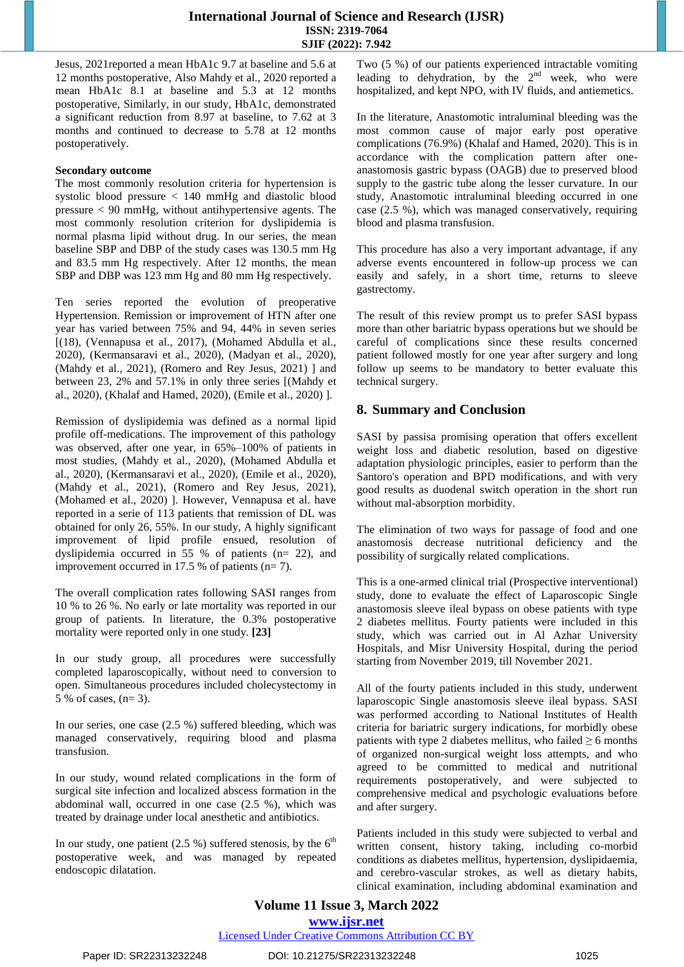## **International Journal of Science and Research (IJSR) ISSN: 2319-7064 SJIF (2022): 7.942**

Jesus, 2021reported a mean HbA1c 9.7 at baseline and 5.6 at 12 months postoperative, Also Mahdy et [al., 2020](https://www.sciencedirect.com/science/article/pii/S2451847621000531?casa_token=IfEjz22qpgEAAAAA:jy-QfYiEI5BeYn7syMyIweQKGyy0-lZGW7xs4YBS5Cqsuqb3EggLZnxbddQQL-TSYugFIvAV4IzJ#bib20) reported a mean HbA1c 8.1 at baseline and 5.3 at 12 months postoperative, Similarly, in our study, HbA1c, demonstrated a significant reduction from 8.97 at baseline, to 7.62 at 3 months and continued to decrease to 5.78 at 12 months postoperatively.

## **Secondary outcome**

The most commonly resolution criteria for hypertension is systolic blood pressure < 140 mmHg and diastolic blood pressure < 90 mmHg, without antihypertensive agents. The most commonly resolution criterion for dyslipidemia is normal plasma lipid without drug. In our series, the mean baseline SBP and DBP of the study cases was 130.5 mm Hg and 83.5 mm Hg respectively. After 12 months, the mean SBP and DBP was 123 mm Hg and 80 mm Hg respectively.

Ten series reported the evolution of preoperative Hypertension. Remission or improvement of HTN after one year has varied between 75% and 94, 44% in seven series [(18), [\(Vennapusa](https://www.sciencedirect.com/science/article/pii/S2451847621000531?casa_token=IfEjz22qpgEAAAAA:jy-QfYiEI5BeYn7syMyIweQKGyy0-lZGW7xs4YBS5Cqsuqb3EggLZnxbddQQL-TSYugFIvAV4IzJ#bib36) et al., 2017), [\(Mohamed](https://www.sciencedirect.com/science/article/pii/S2451847621000531?casa_token=IfEjz22qpgEAAAAA:jy-QfYiEI5BeYn7syMyIweQKGyy0-lZGW7xs4YBS5Cqsuqb3EggLZnxbddQQL-TSYugFIvAV4IzJ#bib24) Abdulla et al., [2020\)](https://www.sciencedirect.com/science/article/pii/S2451847621000531?casa_token=IfEjz22qpgEAAAAA:jy-QfYiEI5BeYn7syMyIweQKGyy0-lZGW7xs4YBS5Cqsuqb3EggLZnxbddQQL-TSYugFIvAV4IzJ#bib24), [\(Kermansaravi](https://www.sciencedirect.com/science/article/pii/S2451847621000531?casa_token=IfEjz22qpgEAAAAA:jy-QfYiEI5BeYn7syMyIweQKGyy0-lZGW7xs4YBS5Cqsuqb3EggLZnxbddQQL-TSYugFIvAV4IzJ#bib14) et al., 2020), (Madyan et [al., 2020\)](https://www.sciencedirect.com/science/article/pii/S2451847621000531?casa_token=IfEjz22qpgEAAAAA:jy-QfYiEI5BeYn7syMyIweQKGyy0-lZGW7xs4YBS5Cqsuqb3EggLZnxbddQQL-TSYugFIvAV4IzJ#bib17), (Mahdy et [al., 2021\)](https://www.sciencedirect.com/science/article/pii/S2451847621000531?casa_token=IfEjz22qpgEAAAAA:jy-QfYiEI5BeYn7syMyIweQKGyy0-lZGW7xs4YBS5Cqsuqb3EggLZnxbddQQL-TSYugFIvAV4IzJ#bib21), (Romero and Rey [Jesus, 2021\)](https://www.sciencedirect.com/science/article/pii/S2451847621000531?casa_token=IfEjz22qpgEAAAAA:jy-QfYiEI5BeYn7syMyIweQKGyy0-lZGW7xs4YBS5Cqsuqb3EggLZnxbddQQL-TSYugFIvAV4IzJ#bib28) ] and between 23, 2% and 57.1% in only three series [[\(Mahdy](https://www.sciencedirect.com/science/article/pii/S2451847621000531?casa_token=IfEjz22qpgEAAAAA:jy-QfYiEI5BeYn7syMyIweQKGyy0-lZGW7xs4YBS5Cqsuqb3EggLZnxbddQQL-TSYugFIvAV4IzJ#bib20) et [al., 2020\)](https://www.sciencedirect.com/science/article/pii/S2451847621000531?casa_token=IfEjz22qpgEAAAAA:jy-QfYiEI5BeYn7syMyIweQKGyy0-lZGW7xs4YBS5Cqsuqb3EggLZnxbddQQL-TSYugFIvAV4IzJ#bib20), (Khalaf and [Hamed, 2020\)](https://www.sciencedirect.com/science/article/pii/S2451847621000531?casa_token=IfEjz22qpgEAAAAA:jy-QfYiEI5BeYn7syMyIweQKGyy0-lZGW7xs4YBS5Cqsuqb3EggLZnxbddQQL-TSYugFIvAV4IzJ#bib15), (Emile et [al., 2020\)](https://www.sciencedirect.com/science/article/pii/S2451847621000531?casa_token=IfEjz22qpgEAAAAA:jy-QfYiEI5BeYn7syMyIweQKGyy0-lZGW7xs4YBS5Cqsuqb3EggLZnxbddQQL-TSYugFIvAV4IzJ#bib11) ].

Remission of dyslipidemia was defined as a normal lipid profile off-medications. The improvement of this pathology was observed, after one year, in 65%–100% of patients in most studies, (Mahdy et [al., 2020\)](https://www.sciencedirect.com/science/article/pii/S2451847621000531?casa_token=IfEjz22qpgEAAAAA:jy-QfYiEI5BeYn7syMyIweQKGyy0-lZGW7xs4YBS5Cqsuqb3EggLZnxbddQQL-TSYugFIvAV4IzJ#bib20), [\(Mohamed](https://www.sciencedirect.com/science/article/pii/S2451847621000531?casa_token=IfEjz22qpgEAAAAA:jy-QfYiEI5BeYn7syMyIweQKGyy0-lZGW7xs4YBS5Cqsuqb3EggLZnxbddQQL-TSYugFIvAV4IzJ#bib24) Abdulla et [al., 2020\)](https://www.sciencedirect.com/science/article/pii/S2451847621000531?casa_token=IfEjz22qpgEAAAAA:jy-QfYiEI5BeYn7syMyIweQKGyy0-lZGW7xs4YBS5Cqsuqb3EggLZnxbddQQL-TSYugFIvAV4IzJ#bib24), [\(Kermansaravi](https://www.sciencedirect.com/science/article/pii/S2451847621000531?casa_token=IfEjz22qpgEAAAAA:jy-QfYiEI5BeYn7syMyIweQKGyy0-lZGW7xs4YBS5Cqsuqb3EggLZnxbddQQL-TSYugFIvAV4IzJ#bib14) et al., 2020), (Emile et [al., 2020\)](https://www.sciencedirect.com/science/article/pii/S2451847621000531?casa_token=IfEjz22qpgEAAAAA:jy-QfYiEI5BeYn7syMyIweQKGyy0-lZGW7xs4YBS5Cqsuqb3EggLZnxbddQQL-TSYugFIvAV4IzJ#bib11), (Mahdy et [al., 2021\)](https://www.sciencedirect.com/science/article/pii/S2451847621000531?casa_token=IfEjz22qpgEAAAAA:jy-QfYiEI5BeYn7syMyIweQKGyy0-lZGW7xs4YBS5Cqsuqb3EggLZnxbddQQL-TSYugFIvAV4IzJ#bib21), (Romero and Rey [Jesus, 2021\)](https://www.sciencedirect.com/science/article/pii/S2451847621000531?casa_token=IfEjz22qpgEAAAAA:jy-QfYiEI5BeYn7syMyIweQKGyy0-lZGW7xs4YBS5Cqsuqb3EggLZnxbddQQL-TSYugFIvAV4IzJ#bib28), [\(Mohamed](https://www.sciencedirect.com/science/article/pii/S2451847621000531?casa_token=IfEjz22qpgEAAAAA:jy-QfYiEI5BeYn7syMyIweQKGyy0-lZGW7xs4YBS5Cqsuqb3EggLZnxbddQQL-TSYugFIvAV4IzJ#bib23) et al., 2020) ]. However, Vennapusa et al. have reported in a serie of 113 patients that remission of DL was obtained for only 26, 55%. In our study, A highly significant improvement of lipid profile ensued, resolution of dyslipidemia occurred in 55 % of patients (n= 22), and improvement occurred in 17.5 % of patients  $(n=7)$ .

The overall complication rates following SASI ranges from 10 % to 26 %. No early or late mortality was reported in our group of patients. In literature, the 0.3% [postoperative](https://www.sciencedirect.com/topics/medicine-and-dentistry/surgical-mortality) [mortality](https://www.sciencedirect.com/topics/medicine-and-dentistry/surgical-mortality) were reported only in one study. **[23]**

In our study group, all procedures were successfully completed laparoscopically, without need to conversion to open. Simultaneous procedures included cholecystectomy in 5 % of cases, (n= 3).

In our series, one case (2.5 %) suffered bleeding, which was managed conservatively, requiring blood and plasma transfusion.

In our study, wound related complications in the form of surgical site infection and localized abscess formation in the abdominal wall, occurred in one case (2.5 %), which was treated by drainage under local anesthetic and antibiotics.

In our study, one patient (2.5 %) suffered stenosis, by the  $6<sup>th</sup>$ postoperative week, and was managed by repeated endoscopic dilatation.

Two (5 %) of our patients experienced intractable vomiting leading to dehydration, by the  $2<sup>nd</sup>$  week, who were hospitalized, and kept NPO, with IV fluids, and antiemetics.

In the literature, Anastomotic intraluminal bleeding was the most common cause of major early post [operative](https://www.sciencedirect.com/topics/medicine-and-dentistry/postoperative-complication) [complications](https://www.sciencedirect.com/topics/medicine-and-dentistry/postoperative-complication) (76.9%) (Khalaf and [Hamed, 2020\)](https://www.sciencedirect.com/science/article/pii/S2451847621000531?casa_token=IfEjz22qpgEAAAAA:jy-QfYiEI5BeYn7syMyIweQKGyy0-lZGW7xs4YBS5Cqsuqb3EggLZnxbddQQL-TSYugFIvAV4IzJ#bib15). This is in accordance with the complication pattern after oneanastomosis gastric bypass (OAGB) due to preserved blood supply to the gastric tube along the lesser curvature. In our study, Anastomotic intraluminal bleeding occurred in one case (2.5 %), which was managed conservatively, requiring blood and plasma transfusion.

This procedure has also a very important advantage, if any adverse events encountered in follow-up process we can easily and safely, in a short time, returns to sleeve gastrectomy.

The result of this review prompt us to prefer SASI bypass more than other bariatric bypass operations but we should be careful of complications since these results concerned patient followed mostly for one year after surgery and long follow up seems to be mandatory to better evaluate this technical surgery.

## **8. Summary and Conclusion**

SASI by passisa promising operation that offers excellent weight loss and diabetic resolution, based on digestive adaptation physiologic principles, easier to perform than the Santoro's operation and BPD modifications, and with very good results as duodenal switch operation in the short run without mal-absorption morbidity.

The elimination of two ways for passage of food and one anastomosis decrease nutritional deficiency and the possibility of surgically related complications.

This is a one-armed clinical trial (Prospective interventional) study, done to evaluate the effect of Laparoscopic Single anastomosis sleeve ileal bypass on obese patients with type 2 diabetes mellitus. Fourty patients were included in this study, which was carried out in Al Azhar University Hospitals, and Misr University Hospital, during the period starting from November 2019, till November 2021.

All of the fourty patients included in this study, underwent laparoscopic Single anastomosis sleeve ileal bypass. SASI was performed according to National Institutes of Health criteria for bariatric surgery indications, for morbidly obese patients with type 2 diabetes mellitus, who failed  $\geq 6$  months of organized non-surgical weight loss attempts, and who agreed to be committed to medical and nutritional requirements postoperatively, and were subjected to comprehensive medical and psychologic evaluations before and after surgery.

Patients included in this study were subjected to verbal and written consent, history taking, including co-morbid conditions as diabetes mellitus, hypertension, dyslipidaemia, and cerebro-vascular strokes, as well as dietary habits, clinical examination, including abdominal examination and

# **Volume 11 Issue 3, March 2022 www.ijsr.net**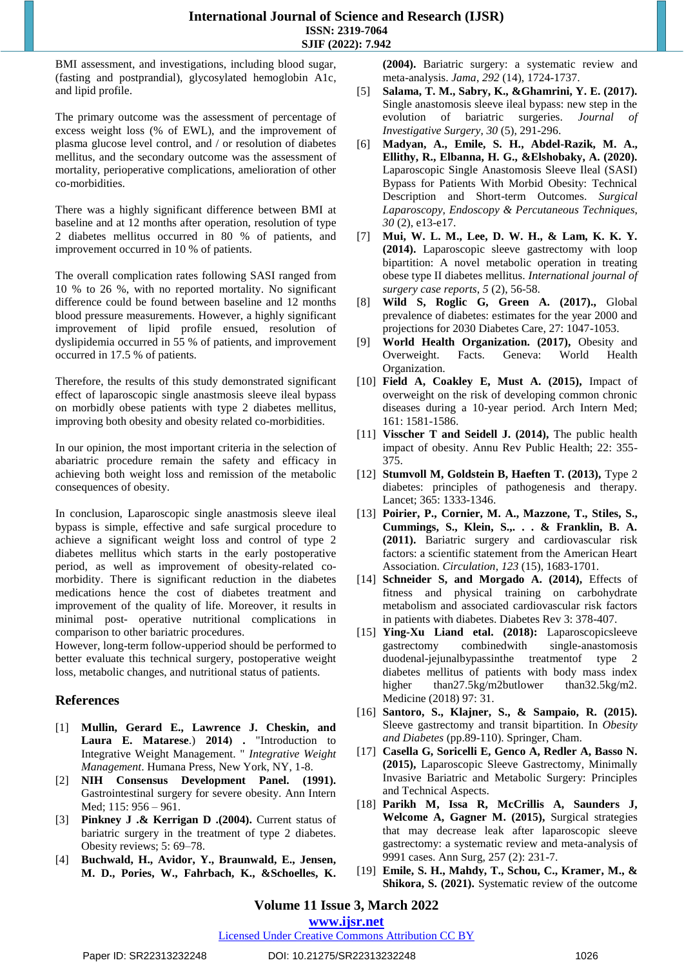BMI assessment, and investigations, including blood sugar, (fasting and postprandial), glycosylated hemoglobin A1c, and lipid profile.

The primary outcome was the assessment of percentage of excess weight loss (% of EWL), and the improvement of plasma glucose level control, and / or resolution of diabetes mellitus, and the secondary outcome was the assessment of mortality, perioperative complications, amelioration of other co-morbidities.

There was a highly significant difference between BMI at baseline and at 12 months after operation, resolution of type 2 diabetes mellitus occurred in 80 % of patients, and improvement occurred in 10 % of patients.

The overall complication rates following SASI ranged from 10 % to 26 %, with no reported mortality. No significant difference could be found between baseline and 12 months blood pressure measurements. However, a highly significant improvement of lipid profile ensued, resolution of dyslipidemia occurred in 55 % of patients, and improvement occurred in 17.5 % of patients.

Therefore, the results of this study demonstrated significant effect of laparoscopic single anastmosis sleeve ileal bypass on morbidly obese patients with type 2 diabetes mellitus, improving both obesity and obesity related co-morbidities.

In our opinion, the most important criteria in the selection of abariatric procedure remain the safety and efficacy in achieving both weight loss and remission of the metabolic consequences of obesity.

In conclusion, Laparoscopic single anastmosis sleeve ileal bypass is simple, effective and safe surgical procedure to achieve a significant weight loss and control of type 2 diabetes mellitus which starts in the early postoperative period, as well as improvement of obesity-related comorbidity. There is significant reduction in the diabetes medications hence the cost of diabetes treatment and improvement of the quality of life. Moreover, it results in minimal post- operative nutritional complications in comparison to other bariatric procedures.

However, long-term follow-upperiod should be performed to better evaluate this technical surgery, postoperative weight loss, metabolic changes, and nutritional status of patients.

## **References**

- [1] **Mullin, Gerard E., Lawrence J. Cheskin, and**  Laura E. Matarese.) 2014) . "Introduction to Integrative Weight Management. " *Integrative Weight Management*. Humana Press, New York, NY, 1-8.
- [2] **NIH Consensus Development Panel. (1991).**  Gastrointestinal surgery for severe obesity. Ann Intern Med; 115: 956 – 961.
- [3] **Pinkney J .& Kerrigan D .(2004).** Current status of bariatric surgery in the treatment of type 2 diabetes. Obesity reviews; 5: 69–78.
- [4] **Buchwald, H., Avidor, Y., Braunwald, E., Jensen, M. D., Pories, W., Fahrbach, K., &Schoelles, K.**

**(2004).** Bariatric surgery: a systematic review and meta-analysis. *Jama*, *292* (14), 1724-1737.

- [5] **Salama, T. M., Sabry, K., &Ghamrini, Y. E. (2017).**  Single anastomosis sleeve ileal bypass: new step in the evolution of bariatric surgeries. *Journal of Investigative Surgery*, *30* (5), 291-296.
- [6] **Madyan, A., Emile, S. H., Abdel-Razik, M. A., Ellithy, R., Elbanna, H. G., &Elshobaky, A. (2020).**  Laparoscopic Single Anastomosis Sleeve Ileal (SASI) Bypass for Patients With Morbid Obesity: Technical Description and Short-term Outcomes. *Surgical Laparoscopy, Endoscopy & Percutaneous Techniques*, *30* (2), e13-e17.
- [7] **Mui, W. L. M., Lee, D. W. H., & Lam, K. K. Y. (2014).** Laparoscopic sleeve gastrectomy with loop bipartition: A novel metabolic operation in treating obese type II diabetes mellitus. *International journal of surgery case reports*, *5* (2), 56-58.
- [8] **Wild S, Roglic G, Green A. (2017).,** Global prevalence of diabetes: estimates for the year 2000 and projections for 2030 Diabetes Care, 27: 1047-1053.
- [9] **World Health Organization. (2017),** Obesity and Overweight. Facts. Geneva: World Health Organization.
- [10] **Field A, Coakley E, Must A. (2015),** Impact of overweight on the risk of developing common chronic diseases during a 10-year period. Arch Intern Med; 161: 1581-1586.
- [11] **Visscher T and Seidell J. (2014),** The public health impact of obesity. Annu Rev Public Health; 22: 355- 375.
- [12] **Stumvoll M, Goldstein B, Haeften T. (2013),** Type 2 diabetes: principles of pathogenesis and therapy. Lancet; 365: 1333-1346.
- [13] **Poirier, P., Cornier, M. A., Mazzone, T., Stiles, S., Cummings, S., Klein, S.,. . . & Franklin, B. A. (2011).** Bariatric surgery and cardiovascular risk factors: a scientific statement from the American Heart Association. *Circulation*, *123* (15), 1683-1701.
- [14] **Schneider S, and Morgado A. (2014),** Effects of fitness and physical training on carbohydrate metabolism and associated cardiovascular risk factors in patients with diabetes. Diabetes Rev 3: 378-407.
- [15] **Ying-Xu Liand etal. (2018):** Laparoscopicsleeve gastrectomy combinedwith single-anastomosis duodenal-jejunalbypassinthe treatmentof type 2 diabetes mellitus of patients with body mass index higher than27.5kg/m2butlower than32.5kg/m2. Medicine (2018) 97: 31.
- [16] **Santoro, S., Klajner, S., & Sampaio, R. (2015).**  Sleeve gastrectomy and transit bipartition. In *Obesity and Diabetes* (pp.89-110). Springer, Cham.
- [17] **Casella G, Soricelli E, Genco A, Redler A, Basso N. (2015),** Laparoscopic Sleeve Gastrectomy, Minimally Invasive Bariatric and Metabolic Surgery: Principles and Technical Aspects.
- [18] **Parikh M, Issa R, McCrillis A, Saunders J, Welcome A, Gagner M. (2015),** Surgical strategies that may decrease leak after laparoscopic sleeve gastrectomy: a systematic review and meta-analysis of 9991 cases. Ann Surg, 257 (2): 231-7.
- [19] **Emile, S. H., Mahdy, T., Schou, C., Kramer, M., & Shikora, S. (2021).** Systematic review of the outcome

**Volume 11 Issue 3, March 2022**

**www.ijsr.net**